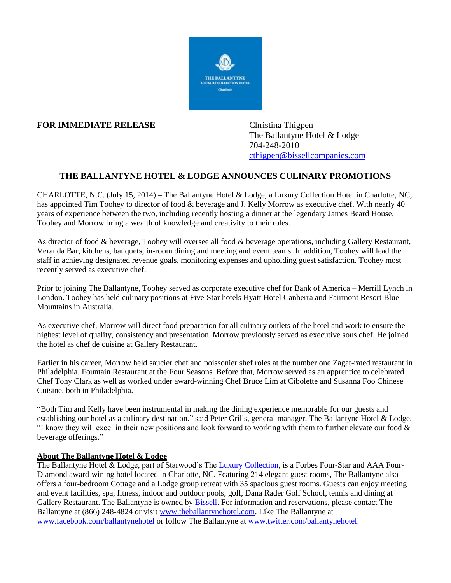

## **FOR IMMEDIATE RELEASE** Christina Thigpen

The Ballantyne Hotel & Lodge 704-248-2010 [cthigpen@bissellcompanies.com](mailto:cthigpen@bissellcompanies.com)

## **THE BALLANTYNE HOTEL & LODGE ANNOUNCES CULINARY PROMOTIONS**

CHARLOTTE, N.C. (July 15, 2014) **–** The Ballantyne Hotel & Lodge, a Luxury Collection Hotel in Charlotte, NC, has appointed Tim Toohey to director of food & beverage and J. Kelly Morrow as executive chef. With nearly 40 years of experience between the two, including recently hosting a dinner at the legendary James Beard House, Toohey and Morrow bring a wealth of knowledge and creativity to their roles.

As director of food & beverage, Toohey will oversee all food & beverage operations, including Gallery Restaurant, Veranda Bar, kitchens, banquets, in-room dining and meeting and event teams. In addition, Toohey will lead the staff in achieving designated revenue goals, monitoring expenses and upholding guest satisfaction. Toohey most recently served as executive chef.

Prior to joining The Ballantyne, Toohey served as corporate executive chef for Bank of America – Merrill Lynch in London. Toohey has held culinary positions at Five-Star hotels Hyatt Hotel Canberra and Fairmont Resort Blue Mountains in Australia.

As executive chef, Morrow will direct food preparation for all culinary outlets of the hotel and work to ensure the highest level of quality, consistency and presentation. Morrow previously served as executive sous chef. He joined the hotel as chef de cuisine at Gallery Restaurant.

Earlier in his career, Morrow held saucier chef and poissonier shef roles at the number one Zagat-rated restaurant in Philadelphia, Fountain Restaurant at the Four Seasons. Before that, Morrow served as an apprentice to celebrated Chef Tony Clark as well as worked under award-winning Chef Bruce Lim at Cibolette and Susanna Foo Chinese Cuisine, both in Philadelphia.

"Both Tim and Kelly have been instrumental in making the dining experience memorable for our guests and establishing our hotel as a culinary destination," said Peter Grills, general manager, The Ballantyne Hotel & Lodge. "I know they will excel in their new positions and look forward to working with them to further elevate our food  $\&$ beverage offerings."

## **About The Ballantyne Hotel & Lodge**

The Ballantyne Hotel & Lodge, part of Starwood's The [Luxury Collection,](http://www.luxurycollection.com/) is a Forbes Four-Star and AAA Four-Diamond award-wining hotel located in Charlotte, NC. Featuring 214 elegant guest rooms, The Ballantyne also offers a four-bedroom Cottage and a Lodge group retreat with 35 spacious guest rooms. Guests can enjoy meeting and event facilities, spa, fitness, indoor and outdoor pools, golf, Dana Rader Golf School, tennis and dining at Gallery Restaurant. The Ballantyne is owned by [Bissell.](http://www.bissellcompanies.com/) For information and reservations, please contact The Ballantyne at (866) 248-4824 or visit [www.theballantynehotel.com.](http://www.theballantynehotel.com/) Like The Ballantyne at [www.facebook.com/ballantynehotel](http://www.facebook.com/ballantynehotel) or follow The Ballantyne at [www.twitter.com/ballantynehotel.](http://www.twitter.com/ballantynehotel)